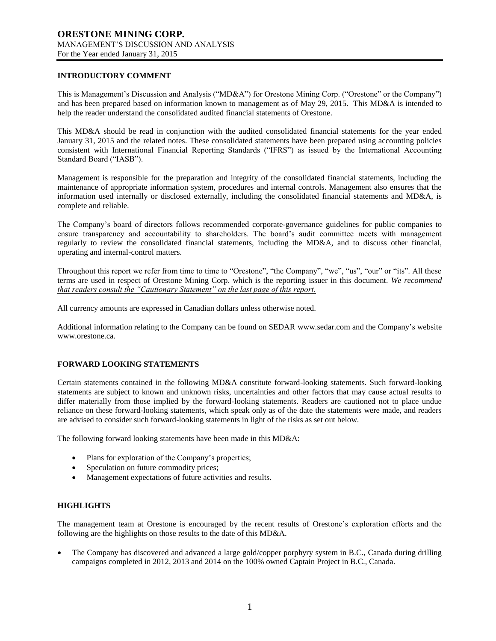# **INTRODUCTORY COMMENT**

This is Management's Discussion and Analysis ("MD&A") for Orestone Mining Corp. ("Orestone" or the Company") and has been prepared based on information known to management as of May 29, 2015. This MD&A is intended to help the reader understand the consolidated audited financial statements of Orestone.

This MD&A should be read in conjunction with the audited consolidated financial statements for the year ended January 31, 2015 and the related notes. These consolidated statements have been prepared using accounting policies consistent with International Financial Reporting Standards ("IFRS") as issued by the International Accounting Standard Board ("IASB").

Management is responsible for the preparation and integrity of the consolidated financial statements, including the maintenance of appropriate information system, procedures and internal controls. Management also ensures that the information used internally or disclosed externally, including the consolidated financial statements and MD&A, is complete and reliable.

The Company's board of directors follows recommended corporate-governance guidelines for public companies to ensure transparency and accountability to shareholders. The board's audit committee meets with management regularly to review the consolidated financial statements, including the MD&A, and to discuss other financial, operating and internal-control matters.

Throughout this report we refer from time to time to "Orestone", "the Company", "we", "us", "our" or "its". All these terms are used in respect of Orestone Mining Corp. which is the reporting issuer in this document. *We recommend that readers consult the "Cautionary Statement" on the last page of this report.*

All currency amounts are expressed in Canadian dollars unless otherwise noted.

Additional information relating to the Company can be found on SEDAR www.sedar.com and the Company's website www.orestone.ca.

# **FORWARD LOOKING STATEMENTS**

Certain statements contained in the following MD&A constitute forward-looking statements. Such forward-looking statements are subject to known and unknown risks, uncertainties and other factors that may cause actual results to differ materially from those implied by the forward-looking statements. Readers are cautioned not to place undue reliance on these forward-looking statements, which speak only as of the date the statements were made, and readers are advised to consider such forward-looking statements in light of the risks as set out below.

The following forward looking statements have been made in this MD&A:

- Plans for exploration of the Company's properties;
- Speculation on future commodity prices;
- Management expectations of future activities and results.

# **HIGHLIGHTS**

The management team at Orestone is encouraged by the recent results of Orestone's exploration efforts and the following are the highlights on those results to the date of this MD&A.

 The Company has discovered and advanced a large gold/copper porphyry system in B.C., Canada during drilling campaigns completed in 2012, 2013 and 2014 on the 100% owned Captain Project in B.C., Canada.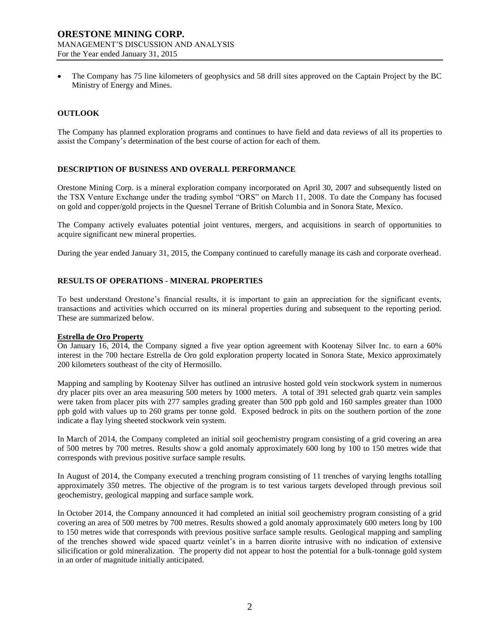The Company has 75 line kilometers of geophysics and 58 drill sites approved on the Captain Project by the BC Ministry of Energy and Mines.

# **OUTLOOK**

The Company has planned exploration programs and continues to have field and data reviews of all its properties to assist the Company's determination of the best course of action for each of them.

# **DESCRIPTION OF BUSINESS AND OVERALL PERFORMANCE**

Orestone Mining Corp. is a mineral exploration company incorporated on April 30, 2007 and subsequently listed on the TSX Venture Exchange under the trading symbol "ORS" on March 11, 2008. To date the Company has focused on gold and copper/gold projects in the Quesnel Terrane of British Columbia and in Sonora State, Mexico.

The Company actively evaluates potential joint ventures, mergers, and acquisitions in search of opportunities to acquire significant new mineral properties.

During the year ended January 31, 2015, the Company continued to carefully manage its cash and corporate overhead.

# **RESULTS OF OPERATIONS - MINERAL PROPERTIES**

To best understand Orestone's financial results, it is important to gain an appreciation for the significant events, transactions and activities which occurred on its mineral properties during and subsequent to the reporting period. These are summarized below.

# **Estrella de Oro Property**

On January 16, 2014, the Company signed a five year option agreement with Kootenay Silver Inc. to earn a 60% interest in the 700 hectare Estrella de Oro gold exploration property located in Sonora State, Mexico approximately 200 kilometers southeast of the city of Hermosillo.

Mapping and sampling by Kootenay Silver has outlined an intrusive hosted gold vein stockwork system in numerous dry placer pits over an area measuring 500 meters by 1000 meters. A total of 391 selected grab quartz vein samples were taken from placer pits with 277 samples grading greater than 500 ppb gold and 160 samples greater than 1000 ppb gold with values up to 260 grams per tonne gold. Exposed bedrock in pits on the southern portion of the zone indicate a flay lying sheeted stockwork vein system.

In March of 2014, the Company completed an initial soil geochemistry program consisting of a grid covering an area of 500 metres by 700 metres. Results show a gold anomaly approximately 600 long by 100 to 150 metres wide that corresponds with previous positive surface sample results.

In August of 2014, the Company executed a trenching program consisting of 11 trenches of varying lengths totalling approximately 350 metres. The objective of the program is to test various targets developed through previous soil geochemistry, geological mapping and surface sample work.

In October 2014, the Company announced it had completed an initial soil geochemistry program consisting of a grid covering an area of 500 metres by 700 metres. Results showed a gold anomaly approximately 600 meters long by 100 to 150 metres wide that corresponds with previous positive surface sample results. Geological mapping and sampling of the trenches showed wide spaced quartz veinlet's in a barren diorite intrusive with no indication of extensive silicification or gold mineralization. The property did not appear to host the potential for a bulk-tonnage gold system in an order of magnitude initially anticipated.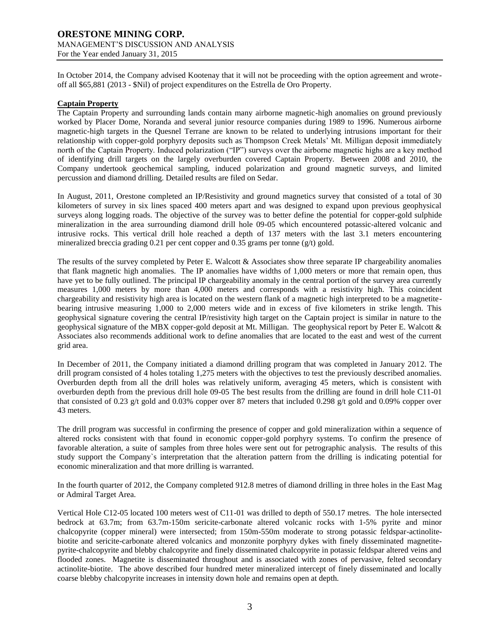In October 2014, the Company advised Kootenay that it will not be proceeding with the option agreement and wroteoff all \$65,881 (2013 - \$Nil) of project expenditures on the Estrella de Oro Property.

## **Captain Property**

The Captain Property and surrounding lands contain many airborne magnetic-high anomalies on ground previously worked by Placer Dome, Noranda and several junior resource companies during 1989 to 1996. Numerous airborne magnetic-high targets in the Quesnel Terrane are known to be related to underlying intrusions important for their relationship with copper-gold porphyry deposits such as Thompson Creek Metals' Mt. Milligan deposit immediately north of the Captain Property. Induced polarization ("IP") surveys over the airborne magnetic highs are a key method of identifying drill targets on the largely overburden covered Captain Property. Between 2008 and 2010, the Company undertook geochemical sampling, induced polarization and ground magnetic surveys, and limited percussion and diamond drilling. Detailed results are filed on Sedar.

In August, 2011, Orestone completed an IP/Resistivity and ground magnetics survey that consisted of a total of 30 kilometers of survey in six lines spaced 400 meters apart and was designed to expand upon previous geophysical surveys along logging roads. The objective of the survey was to better define the potential for copper-gold sulphide mineralization in the area surrounding diamond drill hole 09-05 which encountered potassic-altered volcanic and intrusive rocks. This vertical drill hole reached a depth of 137 meters with the last 3.1 meters encountering mineralized breccia grading 0.21 per cent copper and 0.35 grams per tonne (g/t) gold.

The results of the survey completed by Peter E. Walcott & Associates show three separate IP chargeability anomalies that flank magnetic high anomalies. The IP anomalies have widths of 1,000 meters or more that remain open, thus have yet to be fully outlined. The principal IP chargeability anomaly in the central portion of the survey area currently measures 1,000 meters by more than 4,000 meters and corresponds with a resistivity high. This coincident chargeability and resistivity high area is located on the western flank of a magnetic high interpreted to be a magnetitebearing intrusive measuring 1,000 to 2,000 meters wide and in excess of five kilometers in strike length. This geophysical signature covering the central IP/resistivity high target on the Captain project is similar in nature to the geophysical signature of the MBX copper-gold deposit at Mt. Milligan. The geophysical report by Peter E. Walcott & Associates also recommends additional work to define anomalies that are located to the east and west of the current grid area.

In December of 2011, the Company initiated a diamond drilling program that was completed in January 2012. The drill program consisted of 4 holes totaling 1,275 meters with the objectives to test the previously described anomalies. Overburden depth from all the drill holes was relatively uniform, averaging 45 meters, which is consistent with overburden depth from the previous drill hole 09-05 The best results from the drilling are found in drill hole C11-01 that consisted of 0.23 g/t gold and 0.03% copper over 87 meters that included 0.298 g/t gold and 0.09% copper over 43 meters.

The drill program was successful in confirming the presence of copper and gold mineralization within a sequence of altered rocks consistent with that found in economic copper-gold porphyry systems. To confirm the presence of favorable alteration, a suite of samples from three holes were sent out for petrographic analysis. The results of this study support the Company`s interpretation that the alteration pattern from the drilling is indicating potential for economic mineralization and that more drilling is warranted.

In the fourth quarter of 2012, the Company completed 912.8 metres of diamond drilling in three holes in the East Mag or Admiral Target Area.

Vertical Hole C12-05 located 100 meters west of C11-01 was drilled to depth of 550.17 metres. The hole intersected bedrock at 63.7m; from 63.7m-150m sericite-carbonate altered volcanic rocks with 1-5% pyrite and minor chalcopyrite (copper mineral) were intersected; from 150m-550m moderate to strong potassic feldspar-actinolitebiotite and sericite-carbonate altered volcanics and monzonite porphyry dykes with finely disseminated magnetitepyrite-chalcopyrite and blebby chalcopyrite and finely disseminated chalcopyrite in potassic feldspar altered veins and flooded zones. Magnetite is disseminated throughout and is associated with zones of pervasive, felted secondary actinolite-biotite. The above described four hundred meter mineralized intercept of finely disseminated and locally coarse blebby chalcopyrite increases in intensity down hole and remains open at depth.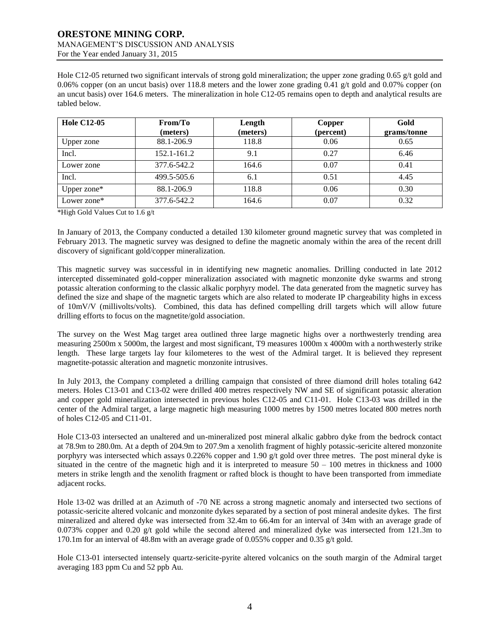Hole C12-05 returned two significant intervals of strong gold mineralization; the upper zone grading 0.65 g/t gold and 0.06% copper (on an uncut basis) over 118.8 meters and the lower zone grading 0.41 g/t gold and 0.07% copper (on an uncut basis) over 164.6 meters. The mineralization in hole C12-05 remains open to depth and analytical results are tabled below.

| <b>Hole C12-05</b> | From/To<br>(meters) | Length<br>(meters) | Copper<br>(percent) | Gold<br>grams/tonne |
|--------------------|---------------------|--------------------|---------------------|---------------------|
| Upper zone         | 88.1-206.9          | 118.8              | 0.06                | 0.65                |
| Incl.              | 152.1-161.2         | 9.1                | 0.27                | 6.46                |
| Lower zone         | 377.6-542.2         | 164.6              | 0.07                | 0.41                |
| Incl.              | 499.5-505.6         | 6.1                | 0.51                | 4.45                |
| Upper zone $*$     | 88.1-206.9          | 118.8              | 0.06                | 0.30                |
| Lower zone*        | 377.6-542.2         | 164.6              | 0.07                | 0.32                |

\*High Gold Values Cut to 1.6 g/t

In January of 2013, the Company conducted a detailed 130 kilometer ground magnetic survey that was completed in February 2013. The magnetic survey was designed to define the magnetic anomaly within the area of the recent drill discovery of significant gold/copper mineralization.

This magnetic survey was successful in in identifying new magnetic anomalies. Drilling conducted in late 2012 intercepted disseminated gold-copper mineralization associated with magnetic monzonite dyke swarms and strong potassic alteration conforming to the classic alkalic porphyry model. The data generated from the magnetic survey has defined the size and shape of the magnetic targets which are also related to moderate IP chargeability highs in excess of 10mV/V (millivolts/volts). Combined, this data has defined compelling drill targets which will allow future drilling efforts to focus on the magnetite/gold association.

The survey on the West Mag target area outlined three large magnetic highs over a northwesterly trending area measuring 2500m x 5000m, the largest and most significant, T9 measures 1000m x 4000m with a northwesterly strike length. These large targets lay four kilometeres to the west of the Admiral target. It is believed they represent magnetite-potassic alteration and magnetic monzonite intrusives.

In July 2013, the Company completed a drilling campaign that consisted of three diamond drill holes totaling 642 meters. Holes C13-01 and C13-02 were drilled 400 metres respectively NW and SE of significant potassic alteration and copper gold mineralization intersected in previous holes C12-05 and C11-01. Hole C13-03 was drilled in the center of the Admiral target, a large magnetic high measuring 1000 metres by 1500 metres located 800 metres north of holes C12-05 and C11-01.

Hole C13-03 intersected an unaltered and un-mineralized post mineral alkalic gabbro dyke from the bedrock contact at 78.9m to 280.0m. At a depth of 204.9m to 207.9m a xenolith fragment of highly potassic-sericite altered monzonite porphyry was intersected which assays 0.226% copper and 1.90 g/t gold over three metres. The post mineral dyke is situated in the centre of the magnetic high and it is interpreted to measure  $50 - 100$  metres in thickness and 1000 meters in strike length and the xenolith fragment or rafted block is thought to have been transported from immediate adjacent rocks.

Hole 13-02 was drilled at an Azimuth of -70 NE across a strong magnetic anomaly and intersected two sections of potassic-sericite altered volcanic and monzonite dykes separated by a section of post mineral andesite dykes. The first mineralized and altered dyke was intersected from 32.4m to 66.4m for an interval of 34m with an average grade of 0.073% copper and 0.20 g/t gold while the second altered and mineralized dyke was intersected from 121.3m to 170.1m for an interval of 48.8m with an average grade of 0.055% copper and 0.35 g/t gold.

Hole C13-01 intersected intensely quartz-sericite-pyrite altered volcanics on the south margin of the Admiral target averaging 183 ppm Cu and 52 ppb Au.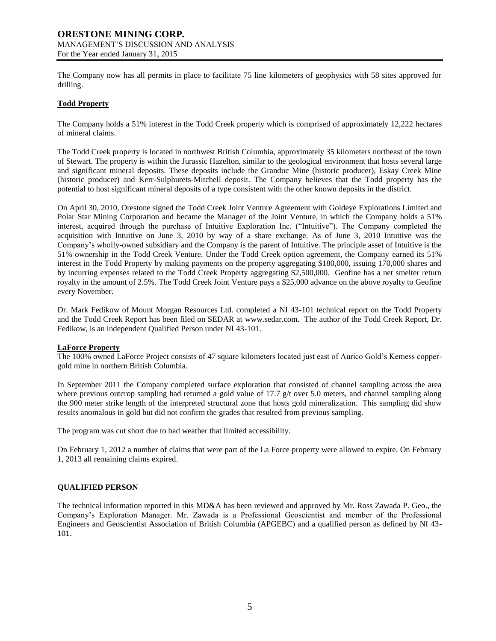The Company now has all permits in place to facilitate 75 line kilometers of geophysics with 58 sites approved for drilling.

## **Todd Property**

The Company holds a 51% interest in the Todd Creek property which is comprised of approximately 12,222 hectares of mineral claims.

The Todd Creek property is located in northwest British Columbia, approximately 35 kilometers northeast of the town of Stewart. The property is within the Jurassic Hazelton, similar to the geological environment that hosts several large and significant mineral deposits. These deposits include the Granduc Mine (historic producer), Eskay Creek Mine (historic producer) and Kerr-Sulphurets-Mitchell deposit. The Company believes that the Todd property has the potential to host significant mineral deposits of a type consistent with the other known deposits in the district.

On April 30, 2010, Orestone signed the Todd Creek Joint Venture Agreement with Goldeye Explorations Limited and Polar Star Mining Corporation and became the Manager of the Joint Venture, in which the Company holds a 51% interest, acquired through the purchase of Intuitive Exploration Inc. ("Intuitive"). The Company completed the acquisition with Intuitive on June 3, 2010 by way of a share exchange. As of June 3, 2010 Intuitive was the Company's wholly-owned subsidiary and the Company is the parent of Intuitive. The principle asset of Intuitive is the 51% ownership in the Todd Creek Venture. Under the Todd Creek option agreement, the Company earned its 51% interest in the Todd Property by making payments on the property aggregating \$180,000, issuing 170,000 shares and by incurring expenses related to the Todd Creek Property aggregating \$2,500,000. Geofine has a net smelter return royalty in the amount of 2.5%. The Todd Creek Joint Venture pays a \$25,000 advance on the above royalty to Geofine every November.

Dr. Mark Fedikow of Mount Morgan Resources Ltd. completed a NI 43-101 technical report on the Todd Property and the Todd Creek Report has been filed on SEDAR at [www.sedar.com.](http://www.sedar.com/) The author of the Todd Creek Report, Dr. Fedikow, is an independent Qualified Person under NI 43-101.

## **LaForce Property**

The 100% owned LaForce Project consists of 47 square kilometers located just east of Aurico Gold's Kemess coppergold mine in northern British Columbia.

In September 2011 the Company completed surface exploration that consisted of channel sampling across the area where previous outcrop sampling had returned a gold value of  $17.7$  g/t over 5.0 meters, and channel sampling along the 900 meter strike length of the interpreted structural zone that hosts gold mineralization. This sampling did show results anomalous in gold but did not confirm the grades that resulted from previous sampling.

The program was cut short due to bad weather that limited accessibility.

On February 1, 2012 a number of claims that were part of the La Force property were allowed to expire. On February 1, 2013 all remaining claims expired.

## **QUALIFIED PERSON**

The technical information reported in this MD&A has been reviewed and approved by Mr. Ross Zawada P. Geo., the Company's Exploration Manager. Mr. Zawada is a Professional Geoscientist and member of the Professional Engineers and Geoscientist Association of British Columbia (APGEBC) and a qualified person as defined by NI 43- 101.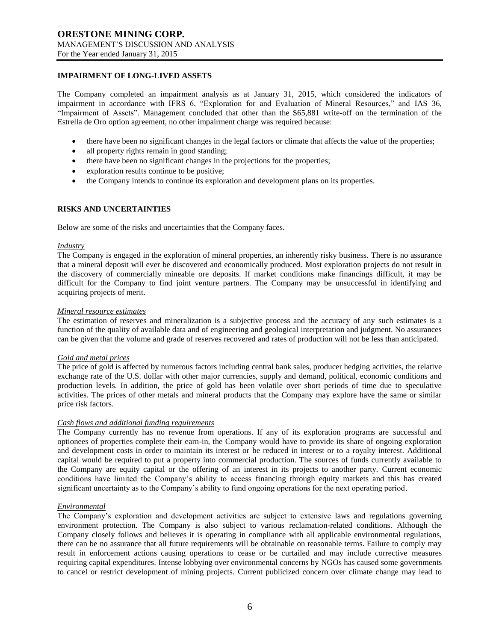# **IMPAIRMENT OF LONG-LIVED ASSETS**

The Company completed an impairment analysis as at January 31, 2015, which considered the indicators of impairment in accordance with IFRS 6, "Exploration for and Evaluation of Mineral Resources," and IAS 36, "Impairment of Assets". Management concluded that other than the \$65,881 write-off on the termination of the Estrella de Oro option agreement, no other impairment charge was required because:

- there have been no significant changes in the legal factors or climate that affects the value of the properties;
- all property rights remain in good standing;
- there have been no significant changes in the projections for the properties;
- exploration results continue to be positive;
- the Company intends to continue its exploration and development plans on its properties.

# **RISKS AND UNCERTAINTIES**

Below are some of the risks and uncertainties that the Company faces.

#### *Industry*

The Company is engaged in the exploration of mineral properties, an inherently risky business. There is no assurance that a mineral deposit will ever be discovered and economically produced. Most exploration projects do not result in the discovery of commercially mineable ore deposits. If market conditions make financings difficult, it may be difficult for the Company to find joint venture partners. The Company may be unsuccessful in identifying and acquiring projects of merit.

# *Mineral resource estimates*

The estimation of reserves and mineralization is a subjective process and the accuracy of any such estimates is a function of the quality of available data and of engineering and geological interpretation and judgment. No assurances can be given that the volume and grade of reserves recovered and rates of production will not be less than anticipated.

## *Gold and metal prices*

The price of gold is affected by numerous factors including central bank sales, producer hedging activities, the relative exchange rate of the U.S. dollar with other major currencies, supply and demand, political, economic conditions and production levels. In addition, the price of gold has been volatile over short periods of time due to speculative activities. The prices of other metals and mineral products that the Company may explore have the same or similar price risk factors.

## *Cash flows and additional funding requirements*

The Company currently has no revenue from operations. If any of its exploration programs are successful and optionees of properties complete their earn-in, the Company would have to provide its share of ongoing exploration and development costs in order to maintain its interest or be reduced in interest or to a royalty interest. Additional capital would be required to put a property into commercial production. The sources of funds currently available to the Company are equity capital or the offering of an interest in its projects to another party. Current economic conditions have limited the Company's ability to access financing through equity markets and this has created significant uncertainty as to the Company's ability to fund ongoing operations for the next operating period.

## *Environmental*

The Company's exploration and development activities are subject to extensive laws and regulations governing environment protection. The Company is also subject to various reclamation-related conditions. Although the Company closely follows and believes it is operating in compliance with all applicable environmental regulations, there can be no assurance that all future requirements will be obtainable on reasonable terms. Failure to comply may result in enforcement actions causing operations to cease or be curtailed and may include corrective measures requiring capital expenditures. Intense lobbying over environmental concerns by NGOs has caused some governments to cancel or restrict development of mining projects. Current publicized concern over climate change may lead to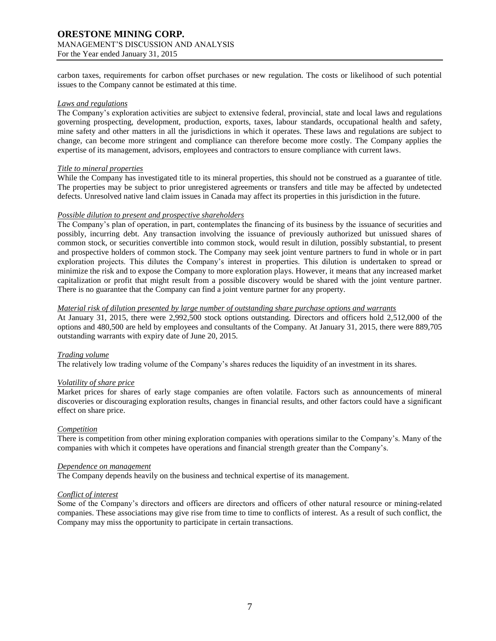carbon taxes, requirements for carbon offset purchases or new regulation. The costs or likelihood of such potential issues to the Company cannot be estimated at this time.

### *Laws and regulations*

The Company's exploration activities are subject to extensive federal, provincial, state and local laws and regulations governing prospecting, development, production, exports, taxes, labour standards, occupational health and safety, mine safety and other matters in all the jurisdictions in which it operates. These laws and regulations are subject to change, can become more stringent and compliance can therefore become more costly. The Company applies the expertise of its management, advisors, employees and contractors to ensure compliance with current laws.

## *Title to mineral properties*

While the Company has investigated title to its mineral properties, this should not be construed as a guarantee of title. The properties may be subject to prior unregistered agreements or transfers and title may be affected by undetected defects. Unresolved native land claim issues in Canada may affect its properties in this jurisdiction in the future.

## *Possible dilution to present and prospective shareholders*

The Company's plan of operation, in part, contemplates the financing of its business by the issuance of securities and possibly, incurring debt. Any transaction involving the issuance of previously authorized but unissued shares of common stock, or securities convertible into common stock, would result in dilution, possibly substantial, to present and prospective holders of common stock. The Company may seek joint venture partners to fund in whole or in part exploration projects. This dilutes the Company's interest in properties. This dilution is undertaken to spread or minimize the risk and to expose the Company to more exploration plays. However, it means that any increased market capitalization or profit that might result from a possible discovery would be shared with the joint venture partner. There is no guarantee that the Company can find a joint venture partner for any property.

## *Material risk of dilution presented by large number of outstanding share purchase options and warrants*

At January 31, 2015, there were 2,992,500 stock options outstanding. Directors and officers hold 2,512,000 of the options and 480,500 are held by employees and consultants of the Company. At January 31, 2015, there were 889,705 outstanding warrants with expiry date of June 20, 2015.

## *Trading volume*

The relatively low trading volume of the Company's shares reduces the liquidity of an investment in its shares.

## *Volatility of share price*

Market prices for shares of early stage companies are often volatile. Factors such as announcements of mineral discoveries or discouraging exploration results, changes in financial results, and other factors could have a significant effect on share price.

## *Competition*

There is competition from other mining exploration companies with operations similar to the Company's. Many of the companies with which it competes have operations and financial strength greater than the Company's.

### *Dependence on management*

The Company depends heavily on the business and technical expertise of its management.

## *Conflict of interest*

Some of the Company's directors and officers are directors and officers of other natural resource or mining-related companies. These associations may give rise from time to time to conflicts of interest. As a result of such conflict, the Company may miss the opportunity to participate in certain transactions.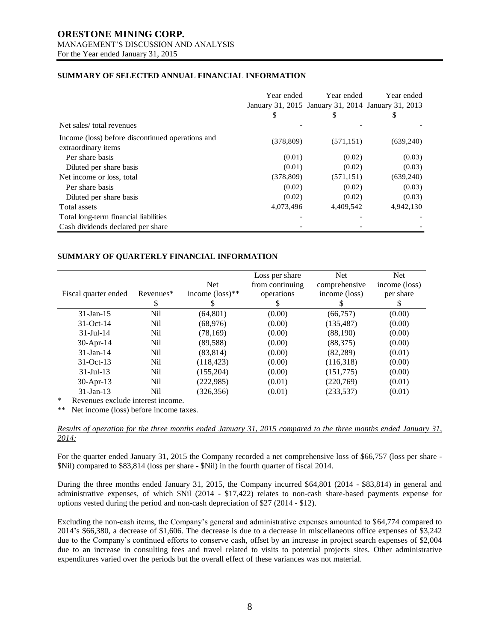# **SUMMARY OF SELECTED ANNUAL FINANCIAL INFORMATION**

|                                                                         | Year ended | Year ended                                         | Year ended |
|-------------------------------------------------------------------------|------------|----------------------------------------------------|------------|
|                                                                         |            | January 31, 2015 January 31, 2014 January 31, 2013 |            |
|                                                                         | \$         | \$                                                 | \$         |
| Net sales/total revenues                                                |            |                                                    |            |
| Income (loss) before discontinued operations and<br>extraordinary items | (378, 809) | (571, 151)                                         | (639,240)  |
| Per share basis                                                         | (0.01)     | (0.02)                                             | (0.03)     |
| Diluted per share basis                                                 | (0.01)     | (0.02)                                             | (0.03)     |
| Net income or loss, total                                               | (378, 809) | (571, 151)                                         | (639,240)  |
| Per share basis                                                         | (0.02)     | (0.02)                                             | (0.03)     |
| Diluted per share basis                                                 | (0.02)     | (0.02)                                             | (0.03)     |
| Total assets                                                            | 4,073,496  | 4,409,542                                          | 4,942,130  |
| Total long-term financial liabilities                                   |            |                                                    |            |
| Cash dividends declared per share                                       |            |                                                    |            |

# **SUMMARY OF QUARTERLY FINANCIAL INFORMATION**

| Fiscal quarter ended | Revenues*<br>S  | <b>Net</b><br>income $(\text{loss})^{**}$ | Loss per share<br>from continuing<br>operations | <b>Net</b><br>comprehensive<br>income (loss) | <b>Net</b><br>income (loss)<br>per share<br>S |
|----------------------|-----------------|-------------------------------------------|-------------------------------------------------|----------------------------------------------|-----------------------------------------------|
| $31$ -Jan-15         | Nil             | (64, 801)                                 | (0.00)                                          | (66, 757)                                    | (0.00)                                        |
| $31-Oct-14$          | Nil             | (68, 976)                                 | (0.00)                                          | (135, 487)                                   | (0.00)                                        |
| $31 -$ Jul $-14$     | Nil             | (78, 169)                                 | (0.00)                                          | (88,190)                                     | (0.00)                                        |
| $30$ -Apr-14         | N <sub>il</sub> | (89, 588)                                 | (0.00)                                          | (88, 375)                                    | (0.00)                                        |
| $31$ -Jan-14         | Nil             | (83, 814)                                 | (0.00)                                          | (82, 289)                                    | (0.01)                                        |
| $31-Oct-13$          | Nil             | (118, 423)                                | (0.00)                                          | (116,318)                                    | (0.00)                                        |
| $31 -$ Jul $-13$     | Nil             | (155, 204)                                | (0.00)                                          | (151,775)                                    | (0.00)                                        |
| 30-Apr-13            | Nil             | (222, 985)                                | (0.01)                                          | (220,769)                                    | (0.01)                                        |
| $31$ -Jan-13         | Nil             | (326, 356)                                | (0.01)                                          | (233, 537)                                   | (0.01)                                        |

Revenues exclude interest income.

\*\* Net income (loss) before income taxes.

# *Results of operation for the three months ended January 31, 2015 compared to the three months ended January 31, 2014:*

For the quarter ended January 31, 2015 the Company recorded a net comprehensive loss of \$66,757 (loss per share - \$Nil) compared to \$83,814 (loss per share - \$Nil) in the fourth quarter of fiscal 2014.

During the three months ended January 31, 2015, the Company incurred \$64,801 (2014 - \$83,814) in general and administrative expenses, of which \$Nil (2014 - \$17,422) relates to non-cash share-based payments expense for options vested during the period and non-cash depreciation of \$27 (2014 - \$12).

Excluding the non-cash items, the Company's general and administrative expenses amounted to \$64,774 compared to 2014's \$66,380, a decrease of \$1,606. The decrease is due to a decrease in miscellaneous office expenses of \$3,242 due to the Company's continued efforts to conserve cash, offset by an increase in project search expenses of \$2,004 due to an increase in consulting fees and travel related to visits to potential projects sites. Other administrative expenditures varied over the periods but the overall effect of these variances was not material.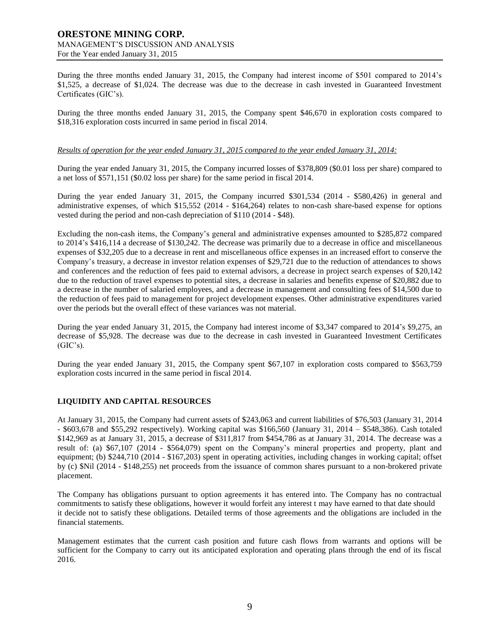During the three months ended January 31, 2015, the Company had interest income of \$501 compared to 2014's \$1,525, a decrease of \$1,024. The decrease was due to the decrease in cash invested in Guaranteed Investment Certificates (GIC's).

During the three months ended January 31, 2015, the Company spent \$46,670 in exploration costs compared to \$18,316 exploration costs incurred in same period in fiscal 2014.

## *Results of operation for the year ended January 31, 2015 compared to the year ended January 31, 2014:*

During the year ended January 31, 2015, the Company incurred losses of \$378,809 (\$0.01 loss per share) compared to a net loss of \$571,151 (\$0.02 loss per share) for the same period in fiscal 2014.

During the year ended January 31, 2015, the Company incurred \$301,534 (2014 - \$580,426) in general and administrative expenses, of which \$15,552 (2014 - \$164,264) relates to non-cash share-based expense for options vested during the period and non-cash depreciation of \$110 (2014 - \$48).

Excluding the non-cash items, the Company's general and administrative expenses amounted to \$285,872 compared to 2014's \$416,114 a decrease of \$130,242. The decrease was primarily due to a decrease in office and miscellaneous expenses of \$32,205 due to a decrease in rent and miscellaneous office expenses in an increased effort to conserve the Company's treasury, a decrease in investor relation expenses of \$29,721 due to the reduction of attendances to shows and conferences and the reduction of fees paid to external advisors, a decrease in project search expenses of \$20,142 due to the reduction of travel expenses to potential sites, a decrease in salaries and benefits expense of \$20,882 due to a decrease in the number of salaried employees, and a decrease in management and consulting fees of \$14,500 due to the reduction of fees paid to management for project development expenses. Other administrative expenditures varied over the periods but the overall effect of these variances was not material.

During the year ended January 31, 2015, the Company had interest income of \$3,347 compared to 2014's \$9,275, an decrease of \$5,928. The decrease was due to the decrease in cash invested in Guaranteed Investment Certificates  $(GIC's)$ .

During the year ended January 31, 2015, the Company spent \$67,107 in exploration costs compared to \$563,759 exploration costs incurred in the same period in fiscal 2014.

## **LIQUIDITY AND CAPITAL RESOURCES**

At January 31, 2015, the Company had current assets of \$243,063 and current liabilities of \$76,503 (January 31, 2014 - \$603,678 and \$55,292 respectively). Working capital was \$166,560 (January 31, 2014 – \$548,386). Cash totaled \$142,969 as at January 31, 2015, a decrease of \$311,817 from \$454,786 as at January 31, 2014. The decrease was a result of: (a) \$67,107 (2014 - \$564,079) spent on the Company's mineral properties and property, plant and equipment; (b) \$244,710 (2014 - \$167,203) spent in operating activities, including changes in working capital; offset by (c) \$Nil (2014 - \$148,255) net proceeds from the issuance of common shares pursuant to a non-brokered private placement.

The Company has obligations pursuant to option agreements it has entered into. The Company has no contractual commitments to satisfy these obligations, however it would forfeit any interest t may have earned to that date should it decide not to satisfy these obligations. Detailed terms of those agreements and the obligations are included in the financial statements.

Management estimates that the current cash position and future cash flows from warrants and options will be sufficient for the Company to carry out its anticipated exploration and operating plans through the end of its fiscal 2016.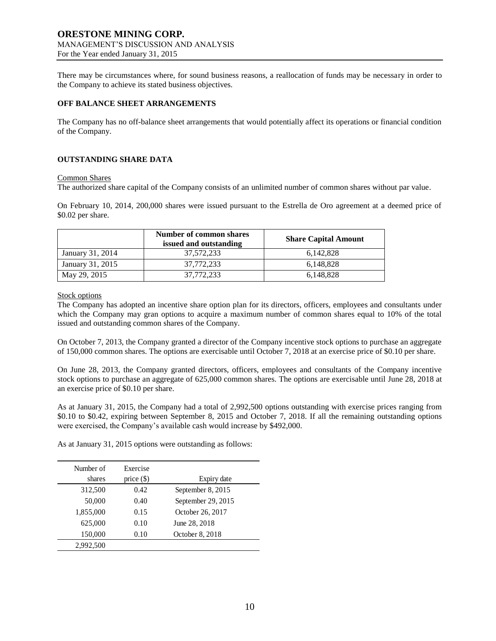There may be circumstances where, for sound business reasons, a reallocation of funds may be necessary in order to the Company to achieve its stated business objectives.

# **OFF BALANCE SHEET ARRANGEMENTS**

The Company has no off-balance sheet arrangements that would potentially affect its operations or financial condition of the Company.

# **OUTSTANDING SHARE DATA**

## Common Shares

The authorized share capital of the Company consists of an unlimited number of common shares without par value.

On February 10, 2014, 200,000 shares were issued pursuant to the Estrella de Oro agreement at a deemed price of \$0.02 per share.

|                  | Number of common shares<br>issued and outstanding | <b>Share Capital Amount</b> |
|------------------|---------------------------------------------------|-----------------------------|
| January 31, 2014 | 37,572,233                                        | 6.142.828                   |
| January 31, 2015 | 37,772,233                                        | 6.148.828                   |
| May 29, 2015     | 37,772,233                                        | 6,148,828                   |

Stock options

The Company has adopted an incentive share option plan for its directors, officers, employees and consultants under which the Company may gran options to acquire a maximum number of common shares equal to 10% of the total issued and outstanding common shares of the Company.

On October 7, 2013, the Company granted a director of the Company incentive stock options to purchase an aggregate of 150,000 common shares. The options are exercisable until October 7, 2018 at an exercise price of \$0.10 per share.

On June 28, 2013, the Company granted directors, officers, employees and consultants of the Company incentive stock options to purchase an aggregate of 625,000 common shares. The options are exercisable until June 28, 2018 at an exercise price of \$0.10 per share.

As at January 31, 2015, the Company had a total of 2,992,500 options outstanding with exercise prices ranging from \$0.10 to \$0.42, expiring between September 8, 2015 and October 7, 2018. If all the remaining outstanding options were exercised, the Company's available cash would increase by \$492,000.

As at January 31, 2015 options were outstanding as follows:

| Number of<br>shares | Exercise<br>price $(\$)$ | Expiry date        |
|---------------------|--------------------------|--------------------|
|                     |                          |                    |
| 312,500             | 0.42                     | September 8, 2015  |
| 50,000              | 0.40                     | September 29, 2015 |
| 1,855,000           | 0.15                     | October 26, 2017   |
| 625,000             | 0.10                     | June 28, 2018      |
| 150,000             | 0.10                     | October 8, 2018    |
| 2,992,500           |                          |                    |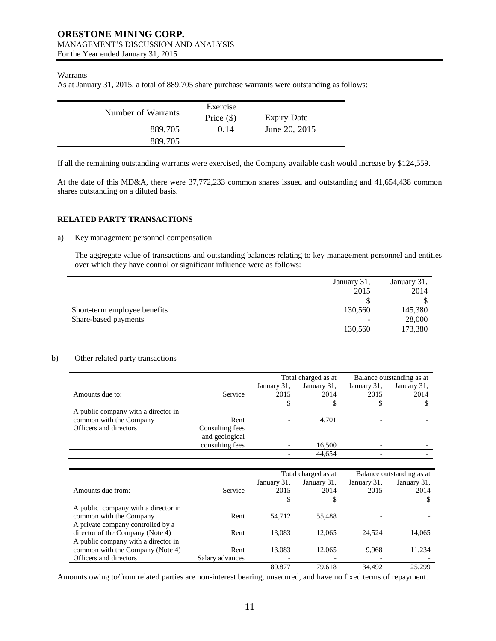# **Warrants**

As at January 31, 2015, a total of 889,705 share purchase warrants were outstanding as follows:

| Number of Warrants | Exercise     |                    |
|--------------------|--------------|--------------------|
|                    | Price $(\$)$ | <b>Expiry Date</b> |
| 889.705            | 0.14         | June 20, 2015      |
| 889.705            |              |                    |

If all the remaining outstanding warrants were exercised, the Company available cash would increase by \$124,559.

At the date of this MD&A, there were 37,772,233 common shares issued and outstanding and 41,654,438 common shares outstanding on a diluted basis.

# **RELATED PARTY TRANSACTIONS**

## a) Key management personnel compensation

The aggregate value of transactions and outstanding balances relating to key management personnel and entities over which they have control or significant influence were as follows:

|                              | January 31,<br>2015 | January 31,<br>2014 |
|------------------------------|---------------------|---------------------|
|                              |                     |                     |
| Short-term employee benefits | 130,560             | 145,380             |
| Share-based payments         |                     | 28,000              |
|                              | 130,560             | 173,380             |

## b) Other related party transactions

|                                     |                 | Total charged as at |             | Balance outstanding as at |             |
|-------------------------------------|-----------------|---------------------|-------------|---------------------------|-------------|
|                                     |                 | January 31,         | January 31, | January 31,               | January 31, |
| Amounts due to:                     | Service         | 2015                | 2014        | 2015                      | 2014        |
|                                     |                 |                     |             |                           |             |
| A public company with a director in |                 |                     |             |                           |             |
| common with the Company             | Rent            |                     | 4,701       |                           |             |
| Officers and directors              | Consulting fees |                     |             |                           |             |
|                                     | and geological  |                     |             |                           |             |
|                                     | consulting fees |                     | 16,500      |                           |             |
|                                     |                 |                     | 44.654      |                           |             |

|                                     |                 | Total charged as at |                          | Balance outstanding as at |             |
|-------------------------------------|-----------------|---------------------|--------------------------|---------------------------|-------------|
|                                     |                 | January 31,         | January 31,              | January 31,               | January 31, |
| Amounts due from:                   | Service         | 2015                | 2014                     | 2015                      | 2014        |
|                                     |                 |                     | \$                       |                           | S           |
| A public company with a director in |                 |                     |                          |                           |             |
| common with the Company             | Rent            | 54.712              | 55.488                   |                           |             |
| A private company controlled by a   |                 |                     |                          |                           |             |
| director of the Company (Note 4)    | Rent            | 13.083              | 12,065                   | 24.524                    | 14,065      |
| A public company with a director in |                 |                     |                          |                           |             |
| common with the Company (Note 4)    | Rent            | 13,083              | 12,065                   | 9,968                     | 11,234      |
| Officers and directors              | Salary advances |                     | $\overline{\phantom{a}}$ |                           |             |
|                                     |                 | 80,877              | 79.618                   | 34.492                    | 25.299      |

Amounts owing to/from related parties are non-interest bearing, unsecured, and have no fixed terms of repayment.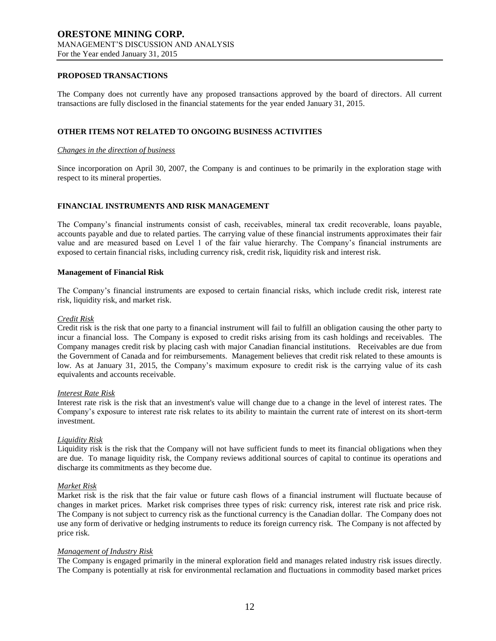# **PROPOSED TRANSACTIONS**

The Company does not currently have any proposed transactions approved by the board of directors. All current transactions are fully disclosed in the financial statements for the year ended January 31, 2015.

## **OTHER ITEMS NOT RELATED TO ONGOING BUSINESS ACTIVITIES**

#### *Changes in the direction of business*

Since incorporation on April 30, 2007, the Company is and continues to be primarily in the exploration stage with respect to its mineral properties.

## **FINANCIAL INSTRUMENTS AND RISK MANAGEMENT**

The Company's financial instruments consist of cash, receivables, mineral tax credit recoverable, loans payable, accounts payable and due to related parties. The carrying value of these financial instruments approximates their fair value and are measured based on Level 1 of the fair value hierarchy. The Company's financial instruments are exposed to certain financial risks, including currency risk, credit risk, liquidity risk and interest risk.

### **Management of Financial Risk**

The Company's financial instruments are exposed to certain financial risks, which include credit risk, interest rate risk, liquidity risk, and market risk.

### *Credit Risk*

Credit risk is the risk that one party to a financial instrument will fail to fulfill an obligation causing the other party to incur a financial loss. The Company is exposed to credit risks arising from its cash holdings and receivables. The Company manages credit risk by placing cash with major Canadian financial institutions. Receivables are due from the Government of Canada and for reimbursements. Management believes that credit risk related to these amounts is low. As at January 31, 2015, the Company's maximum exposure to credit risk is the carrying value of its cash equivalents and accounts receivable.

#### *Interest Rate Risk*

Interest rate risk is the risk that an investment's value will change due to a change in the level of interest rates. The Company's exposure to interest rate risk relates to its ability to maintain the current rate of interest on its short-term investment.

## *Liquidity Risk*

Liquidity risk is the risk that the Company will not have sufficient funds to meet its financial obligations when they are due. To manage liquidity risk, the Company reviews additional sources of capital to continue its operations and discharge its commitments as they become due.

## *Market Risk*

Market risk is the risk that the fair value or future cash flows of a financial instrument will fluctuate because of changes in market prices. Market risk comprises three types of risk: currency risk, interest rate risk and price risk. The Company is not subject to currency risk as the functional currency is the Canadian dollar. The Company does not use any form of derivative or hedging instruments to reduce its foreign currency risk. The Company is not affected by price risk.

### *Management of Industry Risk*

The Company is engaged primarily in the mineral exploration field and manages related industry risk issues directly. The Company is potentially at risk for environmental reclamation and fluctuations in commodity based market prices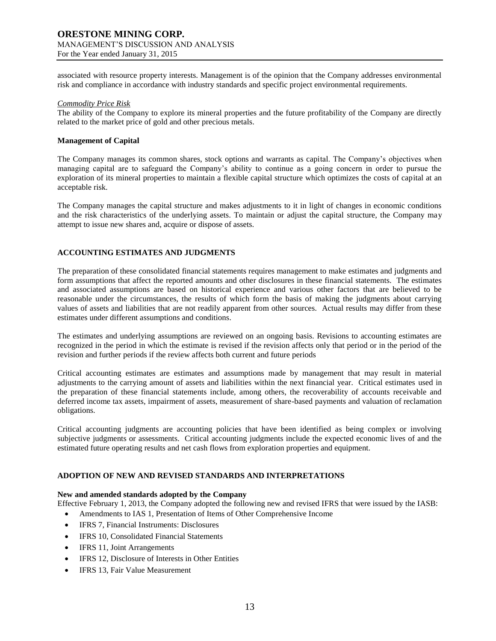associated with resource property interests. Management is of the opinion that the Company addresses environmental risk and compliance in accordance with industry standards and specific project environmental requirements.

#### *Commodity Price Risk*

The ability of the Company to explore its mineral properties and the future profitability of the Company are directly related to the market price of gold and other precious metals.

### **Management of Capital**

The Company manages its common shares, stock options and warrants as capital. The Company's objectives when managing capital are to safeguard the Company's ability to continue as a going concern in order to pursue the exploration of its mineral properties to maintain a flexible capital structure which optimizes the costs of capital at an acceptable risk.

The Company manages the capital structure and makes adjustments to it in light of changes in economic conditions and the risk characteristics of the underlying assets. To maintain or adjust the capital structure, the Company may attempt to issue new shares and, acquire or dispose of assets.

## **ACCOUNTING ESTIMATES AND JUDGMENTS**

The preparation of these consolidated financial statements requires management to make estimates and judgments and form assumptions that affect the reported amounts and other disclosures in these financial statements. The estimates and associated assumptions are based on historical experience and various other factors that are believed to be reasonable under the circumstances, the results of which form the basis of making the judgments about carrying values of assets and liabilities that are not readily apparent from other sources. Actual results may differ from these estimates under different assumptions and conditions.

The estimates and underlying assumptions are reviewed on an ongoing basis. Revisions to accounting estimates are recognized in the period in which the estimate is revised if the revision affects only that period or in the period of the revision and further periods if the review affects both current and future periods

Critical accounting estimates are estimates and assumptions made by management that may result in material adjustments to the carrying amount of assets and liabilities within the next financial year. Critical estimates used in the preparation of these financial statements include, among others, the recoverability of accounts receivable and deferred income tax assets, impairment of assets, measurement of share-based payments and valuation of reclamation obligations.

Critical accounting judgments are accounting policies that have been identified as being complex or involving subjective judgments or assessments. Critical accounting judgments include the expected economic lives of and the estimated future operating results and net cash flows from exploration properties and equipment.

## **ADOPTION OF NEW AND REVISED STANDARDS AND INTERPRETATIONS**

### **New and amended standards adopted by the Company**

- Effective February 1, 2013, the Company adopted the following new and revised IFRS that were issued by the IASB:
	- Amendments to IAS 1, Presentation of Items of Other Comprehensive Income
	- IFRS 7, Financial Instruments: Disclosures
	- IFRS 10, Consolidated Financial Statements
	- IFRS 11, Joint Arrangements
	- IFRS 12, Disclosure of Interests in Other Entities
	- IFRS 13, Fair Value Measurement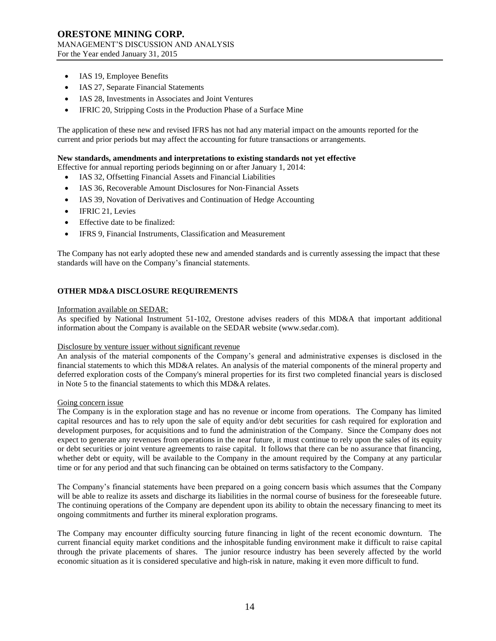- IAS 19, Employee Benefits
- IAS 27, Separate Financial Statements
- IAS 28, Investments in Associates and Joint Ventures
- IFRIC 20, Stripping Costs in the Production Phase of a Surface Mine

The application of these new and revised IFRS has not had any material impact on the amounts reported for the current and prior periods but may affect the accounting for future transactions or arrangements.

# **New standards, amendments and interpretations to existing standards not yet effective**

Effective for annual reporting periods beginning on or after January 1, 2014:

- IAS 32, Offsetting Financial Assets and Financial Liabilities
- IAS 36, Recoverable Amount Disclosures for Non‐Financial Assets
- IAS 39, Novation of Derivatives and Continuation of Hedge Accounting
- IFRIC 21, Levies
- Effective date to be finalized:
- IFRS 9, Financial Instruments, Classification and Measurement

The Company has not early adopted these new and amended standards and is currently assessing the impact that these standards will have on the Company's financial statements.

# **OTHER MD&A DISCLOSURE REQUIREMENTS**

## Information available on SEDAR:

As specified by National Instrument 51-102, Orestone advises readers of this MD&A that important additional information about the Company is available on the SEDAR website (www.sedar.com).

## Disclosure by venture issuer without significant revenue

An analysis of the material components of the Company's general and administrative expenses is disclosed in the financial statements to which this MD&A relates. An analysis of the material components of the mineral property and deferred exploration costs of the Company's mineral properties for its first two completed financial years is disclosed in Note 5 to the financial statements to which this MD&A relates.

## Going concern issue

The Company is in the exploration stage and has no revenue or income from operations. The Company has limited capital resources and has to rely upon the sale of equity and/or debt securities for cash required for exploration and development purposes, for acquisitions and to fund the administration of the Company. Since the Company does not expect to generate any revenues from operations in the near future, it must continue to rely upon the sales of its equity or debt securities or joint venture agreements to raise capital. It follows that there can be no assurance that financing, whether debt or equity, will be available to the Company in the amount required by the Company at any particular time or for any period and that such financing can be obtained on terms satisfactory to the Company.

The Company's financial statements have been prepared on a going concern basis which assumes that the Company will be able to realize its assets and discharge its liabilities in the normal course of business for the foreseeable future. The continuing operations of the Company are dependent upon its ability to obtain the necessary financing to meet its ongoing commitments and further its mineral exploration programs.

The Company may encounter difficulty sourcing future financing in light of the recent economic downturn. The current financial equity market conditions and the inhospitable funding environment make it difficult to raise capital through the private placements of shares. The junior resource industry has been severely affected by the world economic situation as it is considered speculative and high-risk in nature, making it even more difficult to fund.